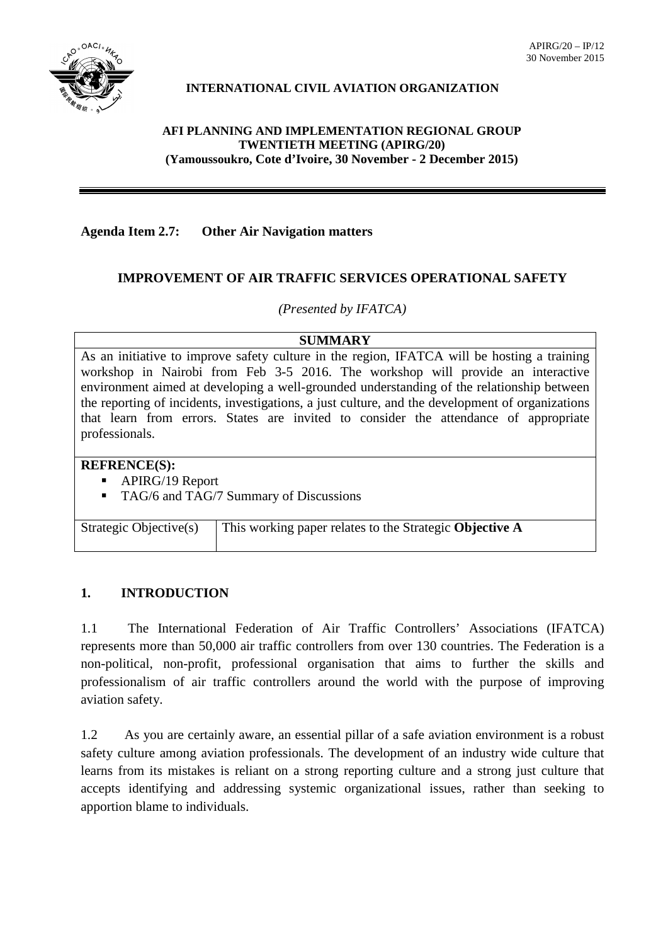

# **INTERNATIONAL CIVIL AVIATION ORGANIZATION**

## **AFI PLANNING AND IMPLEMENTATION REGIONAL GROUP TWENTIETH MEETING (APIRG/20) (Yamoussoukro, Cote d'Ivoire, 30 November - 2 December 2015)**

# **Agenda Item 2.7: Other Air Navigation matters**

## **IMPROVEMENT OF AIR TRAFFIC SERVICES OPERATIONAL SAFETY**

*(Presented by IFATCA)*

#### **SUMMARY**

As an initiative to improve safety culture in the region, IFATCA will be hosting a training workshop in Nairobi from Feb 3-5 2016. The workshop will provide an interactive environment aimed at developing a well-grounded understanding of the relationship between the reporting of incidents, investigations, a just culture, and the development of organizations that learn from errors. States are invited to consider the attendance of appropriate professionals.

### **REFRENCE(S):**

- APIRG/19 Report
- **TAG/6 and TAG/7 Summary of Discussions**

| Strategic Objective(s) | <sup>1</sup> This working paper relates to the Strategic Objective A |
|------------------------|----------------------------------------------------------------------|
|                        |                                                                      |

### **1. INTRODUCTION**

1.1 The International Federation of Air Traffic Controllers' Associations (IFATCA) represents more than 50,000 air traffic controllers from over 130 countries. The Federation is a non-political, non-profit, professional organisation that aims to further the skills and professionalism of air traffic controllers around the world with the purpose of improving aviation safety.

1.2 As you are certainly aware, an essential pillar of a safe aviation environment is a robust safety culture among aviation professionals. The development of an industry wide culture that learns from its mistakes is reliant on a strong reporting culture and a strong just culture that accepts identifying and addressing systemic organizational issues, rather than seeking to apportion blame to individuals.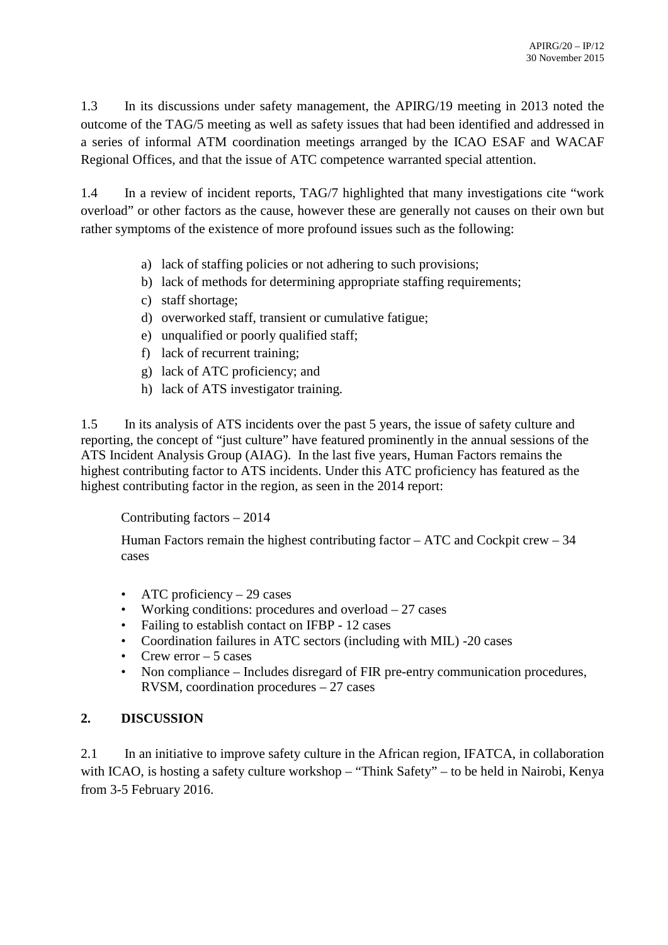1.3 In its discussions under safety management, the APIRG/19 meeting in 2013 noted the outcome of the TAG/5 meeting as well as safety issues that had been identified and addressed in a series of informal ATM coordination meetings arranged by the ICAO ESAF and WACAF Regional Offices, and that the issue of ATC competence warranted special attention.

1.4 In a review of incident reports, TAG/7 highlighted that many investigations cite "work overload" or other factors as the cause, however these are generally not causes on their own but rather symptoms of the existence of more profound issues such as the following:

- a) lack of staffing policies or not adhering to such provisions;
- b) lack of methods for determining appropriate staffing requirements;
- c) staff shortage;
- d) overworked staff, transient or cumulative fatigue;
- e) unqualified or poorly qualified staff;
- f) lack of recurrent training;
- g) lack of ATC proficiency; and
- h) lack of ATS investigator training.

1.5 In its analysis of ATS incidents over the past 5 years, the issue of safety culture and reporting, the concept of "just culture" have featured prominently in the annual sessions of the ATS Incident Analysis Group (AIAG). In the last five years, Human Factors remains the highest contributing factor to ATS incidents. Under this ATC proficiency has featured as the highest contributing factor in the region, as seen in the 2014 report:

Contributing factors – 2014

Human Factors remain the highest contributing factor – ATC and Cockpit crew – 34 cases

- ATC proficiency  $-29$  cases
- Working conditions: procedures and overload  $-27$  cases
- Failing to establish contact on IFBP 12 cases
- Coordination failures in ATC sectors (including with MIL) -20 cases
- Crew error  $-5$  cases
- Non compliance Includes disregard of FIR pre-entry communication procedures, RVSM, coordination procedures – 27 cases

# **2. DISCUSSION**

2.1 In an initiative to improve safety culture in the African region, IFATCA, in collaboration with ICAO, is hosting a safety culture workshop – "Think Safety" – to be held in Nairobi, Kenya from 3-5 February 2016.